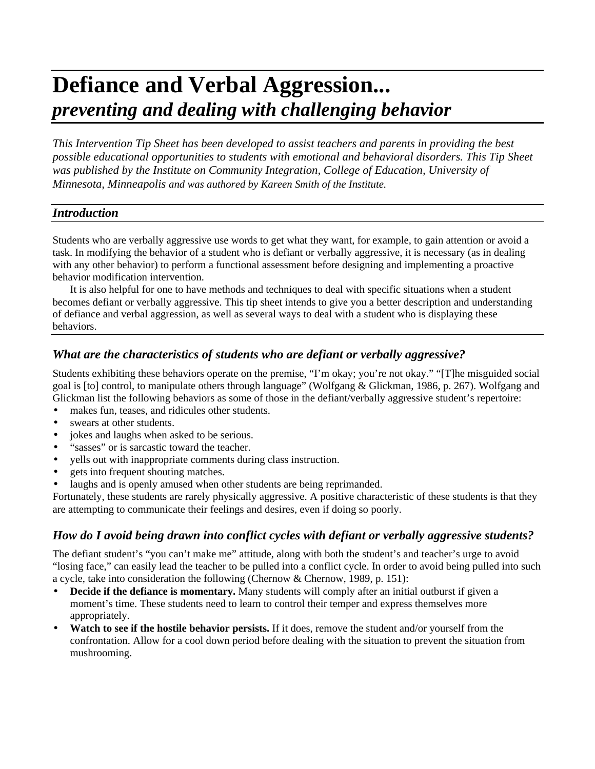# **Defiance and Verbal Aggression...** *preventing and dealing with challenging behavior*

*This Intervention Tip Sheet has been developed to assist teachers and parents in providing the best possible educational opportunities to students with emotional and behavioral disorders. This Tip Sheet was published by the Institute on Community Integration, College of Education, University of Minnesota, Minneapolis and was authored by Kareen Smith of the Institute.*

## *Introduction*

Students who are verbally aggressive use words to get what they want, for example, to gain attention or avoid a task. In modifying the behavior of a student who is defiant or verbally aggressive, it is necessary (as in dealing with any other behavior) to perform a functional assessment before designing and implementing a proactive behavior modification intervention.

It is also helpful for one to have methods and techniques to deal with specific situations when a student becomes defiant or verbally aggressive. This tip sheet intends to give you a better description and understanding of defiance and verbal aggression, as well as several ways to deal with a student who is displaying these behaviors.

# *What are the characteristics of students who are defiant or verbally aggressive?*

Students exhibiting these behaviors operate on the premise, "I'm okay; you're not okay." "[T]he misguided social goal is [to] control, to manipulate others through language" (Wolfgang & Glickman, 1986, p. 267). Wolfgang and Glickman list the following behaviors as some of those in the defiant/verbally aggressive student's repertoire:

- makes fun, teases, and ridicules other students.
- swears at other students.
- jokes and laughs when asked to be serious.
- "sasses" or is sarcastic toward the teacher.
- yells out with inappropriate comments during class instruction.
- gets into frequent shouting matches.
- laughs and is openly amused when other students are being reprimanded.

Fortunately, these students are rarely physically aggressive. A positive characteristic of these students is that they are attempting to communicate their feelings and desires, even if doing so poorly.

# *How do I avoid being drawn into conflict cycles with defiant or verbally aggressive students?*

The defiant student's "you can't make me" attitude, along with both the student's and teacher's urge to avoid "losing face," can easily lead the teacher to be pulled into a conflict cycle. In order to avoid being pulled into such a cycle, take into consideration the following (Chernow & Chernow, 1989, p. 151):

- **Decide if the defiance is momentary.** Many students will comply after an initial outburst if given a moment's time. These students need to learn to control their temper and express themselves more appropriately.
- **Watch to see if the hostile behavior persists.** If it does, remove the student and/or yourself from the confrontation. Allow for a cool down period before dealing with the situation to prevent the situation from mushrooming.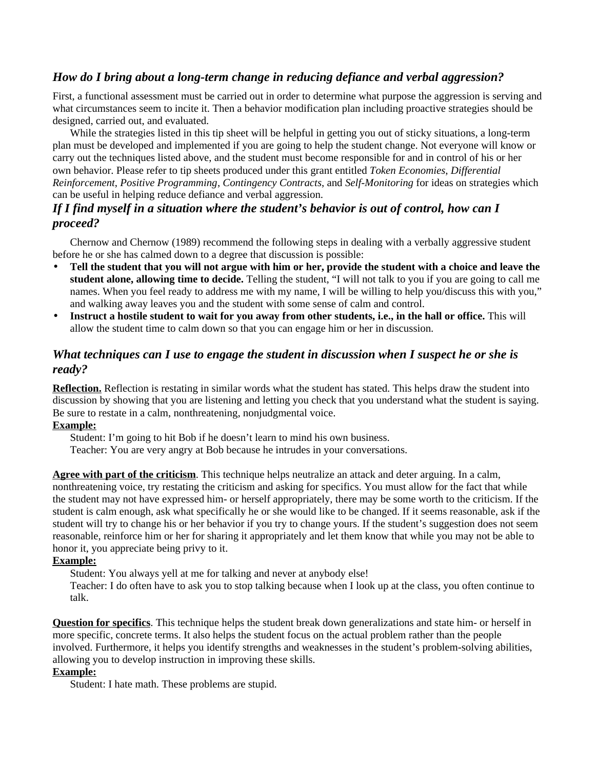# *How do I bring about a long-term change in reducing defiance and verbal aggression?*

First, a functional assessment must be carried out in order to determine what purpose the aggression is serving and what circumstances seem to incite it. Then a behavior modification plan including proactive strategies should be designed, carried out, and evaluated.

While the strategies listed in this tip sheet will be helpful in getting you out of sticky situations, a long-term plan must be developed and implemented if you are going to help the student change. Not everyone will know or carry out the techniques listed above, and the student must become responsible for and in control of his or her own behavior. Please refer to tip sheets produced under this grant entitled *Token Economies*, *Differential Reinforcement*, *Positive Programming*, *Contingency Contracts*, and *Self-Monitoring* for ideas on strategies which can be useful in helping reduce defiance and verbal aggression.

# *If I find myself in a situation where the student's behavior is out of control, how can I proceed?*

Chernow and Chernow (1989) recommend the following steps in dealing with a verbally aggressive student before he or she has calmed down to a degree that discussion is possible:

- **Tell the student that you will not argue with him or her, provide the student with a choice and leave the student alone, allowing time to decide.** Telling the student, "I will not talk to you if you are going to call me names. When you feel ready to address me with my name, I will be willing to help you/discuss this with you," and walking away leaves you and the student with some sense of calm and control.
- **Instruct a hostile student to wait for you away from other students, i.e., in the hall or office.** This will allow the student time to calm down so that you can engage him or her in discussion.

# *What techniques can I use to engage the student in discussion when I suspect he or she is ready?*

**Reflection.** Reflection is restating in similar words what the student has stated. This helps draw the student into discussion by showing that you are listening and letting you check that you understand what the student is saying. Be sure to restate in a calm, nonthreatening, nonjudgmental voice.

## **Example:**

Student: I'm going to hit Bob if he doesn't learn to mind his own business.

Teacher: You are very angry at Bob because he intrudes in your conversations.

**Agree with part of the criticism**. This technique helps neutralize an attack and deter arguing. In a calm, nonthreatening voice, try restating the criticism and asking for specifics. You must allow for the fact that while the student may not have expressed him- or herself appropriately, there may be some worth to the criticism. If the student is calm enough, ask what specifically he or she would like to be changed. If it seems reasonable, ask if the student will try to change his or her behavior if you try to change yours. If the student's suggestion does not seem reasonable, reinforce him or her for sharing it appropriately and let them know that while you may not be able to honor it, you appreciate being privy to it.

## **Example:**

Student: You always yell at me for talking and never at anybody else!

Teacher: I do often have to ask you to stop talking because when I look up at the class, you often continue to talk.

**Question for specifics**. This technique helps the student break down generalizations and state him- or herself in more specific, concrete terms. It also helps the student focus on the actual problem rather than the people involved. Furthermore, it helps you identify strengths and weaknesses in the student's problem-solving abilities, allowing you to develop instruction in improving these skills.

## **Example:**

Student: I hate math. These problems are stupid.